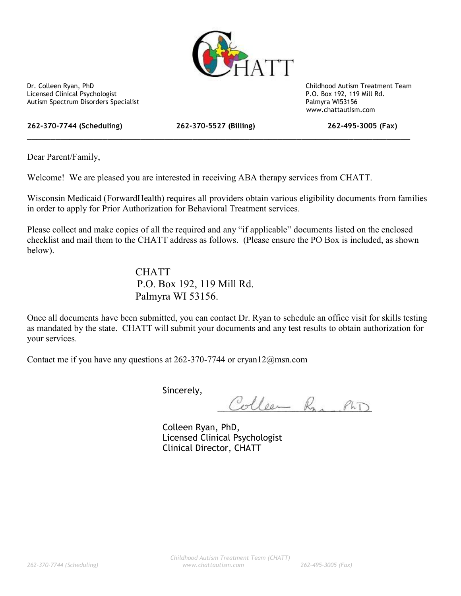

Licensed Clinical Psychologist P.O. Box 192, 119 Mill Rd. Autism Spectrum Disorders Specialist Palmyra WI53156

Dr. Colleen Ryan, PhD Childhood Autism Treatment Team www.chattautism.com

**262-370-7744 (Scheduling) 262-370-5527 (Billing) 262-495-3005 (Fax)**

\_\_\_\_\_\_\_\_\_\_\_\_\_\_\_\_\_\_\_\_\_\_\_\_\_\_\_\_\_\_\_\_\_\_\_\_\_\_\_\_\_\_\_\_\_\_\_\_\_\_\_\_\_\_\_\_\_\_\_\_\_\_\_\_\_\_\_\_\_\_\_\_\_\_\_\_\_\_\_\_\_

Dear Parent/Family,

Welcome! We are pleased you are interested in receiving ABA therapy services from CHATT.

Wisconsin Medicaid (ForwardHealth) requires all providers obtain various eligibility documents from families in order to apply for Prior Authorization for Behavioral Treatment services.

Please collect and make copies of all the required and any "if applicable" documents listed on the enclosed checklist and mail them to the CHATT address as follows. (Please ensure the PO Box is included, as shown below).

## **CHATT** P.O. Box 192, 119 Mill Rd. Palmyra WI 53156.

Once all documents have been submitted, you can contact Dr. Ryan to schedule an office visit for skills testing as mandated by the state. CHATT will submit your documents and any test results to obtain authorization for your services.

Contact me if you have any questions at 262-370-7744 or cryan12@msn.com

Sincerely,

Colleen Ran, PhD

Colleen Ryan, PhD, Licensed Clinical Psychologist Clinical Director, CHATT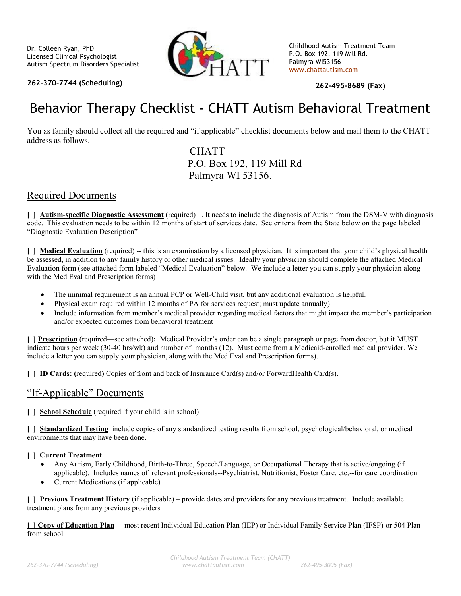

**262-370-7744 (Scheduling)**

Childhood Autism Treatment Team P.O. Box 192, 119 Mill Rd. Palmyra WI53156 www.chattautism.com

**262-495-8689 (Fax)**

# \_\_\_\_\_\_\_\_\_\_\_\_\_\_\_\_\_\_\_\_\_\_\_\_\_\_\_\_\_\_\_\_\_\_\_\_\_\_\_\_\_\_\_\_\_\_\_\_\_\_\_\_\_\_\_\_\_\_\_\_\_\_\_\_\_\_\_\_\_\_\_\_\_\_\_\_\_\_\_\_\_\_\_\_\_ Behavior Therapy Checklist - CHATT Autism Behavioral Treatment

You as family should collect all the required and "if applicable" checklist documents below and mail them to the CHATT address as follows.

> **CHATT** P.O. Box 192, 119 Mill Rd Palmyra WI 53156.

#### Required Documents

**[ ] Autism-specific Diagnostic Assessment** (required) –. It needs to include the diagnosis of Autism from the DSM-V with diagnosis code. This evaluation needs to be within 12 months of start of services date. See criteria from the State below on the page labeled "Diagnostic Evaluation Description"

**[ ] Medical Evaluation** (required) -- this is an examination by a licensed physician. It is important that your child's physical health be assessed, in addition to any family history or other medical issues. Ideally your physician should complete the attached Medical Evaluation form (see attached form labeled "Medical Evaluation" below. We include a letter you can supply your physician along with the Med Eval and Prescription forms)

- The minimal requirement is an annual PCP or Well-Child visit, but any additional evaluation is helpful.
- Physical exam required within 12 months of PA for services request; must update annually)
- Include information from member's medical provider regarding medical factors that might impact the member's participation and/or expected outcomes from behavioral treatment

**[ ] Prescription** (required—see attached)**:** Medical Provider's order can be a single paragraph or page from doctor, but it MUST indicate hours per week (30-40 hrs/wk) and number of months (12). Must come from a Medicaid-enrolled medical provider. We include a letter you can supply your physician, along with the Med Eval and Prescription forms).

**[ ] ID Cards: (**required**)** Copies of front and back of Insurance Card(s) and/or ForwardHealth Card(s).

### "If-Applicable" Documents

**[ ] School Schedule** (required if your child is in school)

**[ ] Standardized Testing** include copies of any standardized testing results from school, psychological/behavioral, or medical environments that may have been done.

#### **[ ] Current Treatment**

- Any Autism, Early Childhood, Birth-to-Three, Speech/Language, or Occupational Therapy that is active/ongoing (if applicable). Includes names of relevant professionals--Psychiatrist, Nutritionist, Foster Care, etc,--for care coordination
- Current Medications (if applicable)

**[ ] Previous Treatment History** (if applicable) – provide dates and providers for any previous treatment. Include available treatment plans from any previous providers

**[ ] Copy of Education Plan** - most recent Individual Education Plan (IEP) or Individual Family Service Plan (IFSP) or 504 Plan from school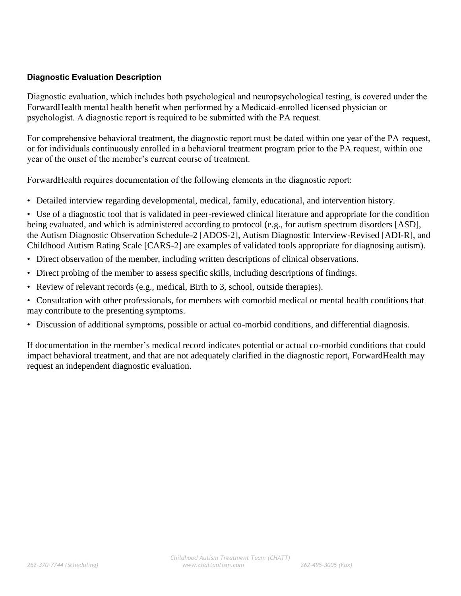#### **Diagnostic Evaluation Description**

Diagnostic evaluation, which includes both psychological and neuropsychological testing, is covered under the ForwardHealth mental health benefit when performed by a Medicaid-enrolled licensed physician or psychologist. A diagnostic report is required to be submitted with the PA request.

For comprehensive behavioral treatment, the diagnostic report must be dated within one year of the PA request, or for individuals continuously enrolled in a behavioral treatment program prior to the PA request, within one year of the onset of the member's current course of treatment.

ForwardHealth requires documentation of the following elements in the diagnostic report:

Detailed interview regarding developmental, medical, family, educational, and intervention history.

 Use of a diagnostic tool that is validated in peer-reviewed clinical literature and appropriate for the condition being evaluated, and which is administered according to protocol (e.g., for autism spectrum disorders [ASD], the Autism Diagnostic Observation Schedule-2 [ADOS-2], Autism Diagnostic Interview-Revised [ADI-R], and Childhood Autism Rating Scale [CARS-2] are examples of validated tools appropriate for diagnosing autism).

- Direct observation of the member, including written descriptions of clinical observations.
- Direct probing of the member to assess specific skills, including descriptions of findings.
- Review of relevant records (e.g., medical, Birth to 3, school, outside therapies).
- Consultation with other professionals, for members with comorbid medical or mental health conditions that may contribute to the presenting symptoms.
- Discussion of additional symptoms, possible or actual co-morbid conditions, and differential diagnosis.

If documentation in the member's medical record indicates potential or actual co-morbid conditions that could impact behavioral treatment, and that are not adequately clarified in the diagnostic report, ForwardHealth may request an independent diagnostic evaluation.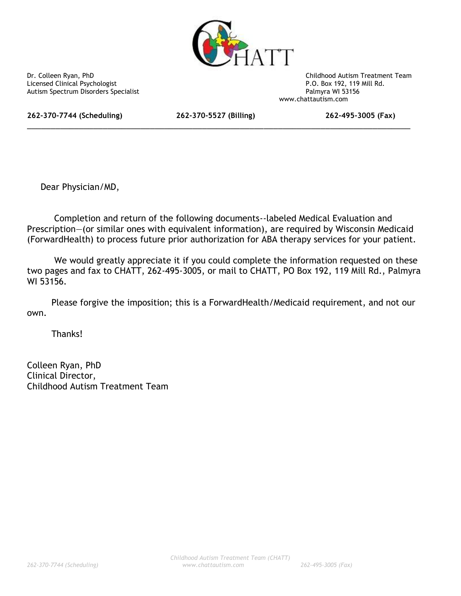

Licensed Clinical Psychologist<br>
Autism Spectrum Disorders Specialist<br>
Palmyra WI 53156 Autism Spectrum Disorders Specialist

Dr. Colleen Ryan, PhD Childhood Autism Treatment Team www.chattautism.com

**262-370-7744 (Scheduling) 262-370-5527 (Billing) 262-495-3005 (Fax)**

\_\_\_\_\_\_\_\_\_\_\_\_\_\_\_\_\_\_\_\_\_\_\_\_\_\_\_\_\_\_\_\_\_\_\_\_\_\_\_\_\_\_\_\_\_\_\_\_\_\_\_\_\_\_\_\_\_\_\_\_\_\_\_\_\_\_\_\_\_\_\_\_\_\_\_\_\_\_\_\_\_

Dear Physician/MD,

Completion and return of the following documents--labeled Medical Evaluation and Prescription—(or similar ones with equivalent information), are required by Wisconsin Medicaid (ForwardHealth) to process future prior authorization for ABA therapy services for your patient.

We would greatly appreciate it if you could complete the information requested on these two pages and fax to CHATT, 262-495-3005, or mail to CHATT, PO Box 192, 119 Mill Rd., Palmyra WI 53156.

Please forgive the imposition; this is a ForwardHealth/Medicaid requirement, and not our own.

Thanks!

Colleen Ryan, PhD Clinical Director, Childhood Autism Treatment Team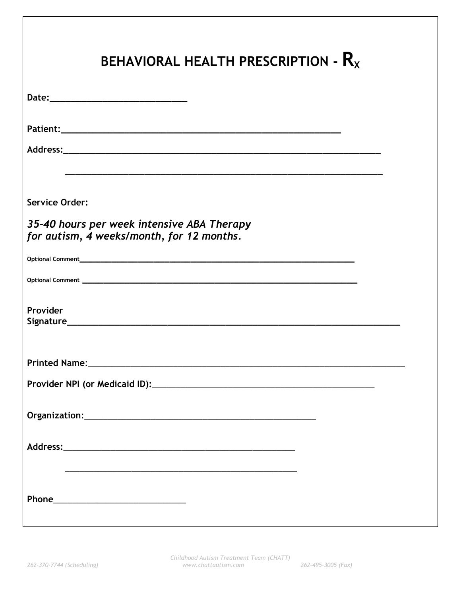| BEHAVIORAL HEALTH PRESCRIPTION - $R_x$                                                                                |
|-----------------------------------------------------------------------------------------------------------------------|
|                                                                                                                       |
|                                                                                                                       |
|                                                                                                                       |
| <u> 1989 - Johann Harry Harry Harry Harry Harry Harry Harry Harry Harry Harry Harry Harry Harry Harry Harry Harry</u> |
| <b>Service Order:</b>                                                                                                 |
| 35-40 hours per week intensive ABA Therapy<br>for autism, 4 weeks/month, for 12 months.                               |
|                                                                                                                       |
|                                                                                                                       |
| Provider                                                                                                              |
|                                                                                                                       |
|                                                                                                                       |
|                                                                                                                       |
|                                                                                                                       |
| <u> 1989 - Johann Harry Harry Harry Harry Harry Harry Harry Harry Harry Harry Harry Harry Harry Harry Harry Harry</u> |
|                                                                                                                       |